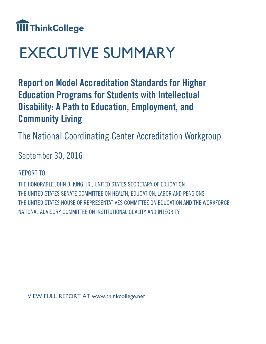

# EXECUTIVE SUMMARY

**Report on Model Accreditation Standards for Higher Education Programs for Students with Intellectual Disability: A Path to Education, Employment, and Community Living**

The National Coordinating Center Accreditation Workgroup

September 30, 2016

REPORT TO:

THE HONORABLE JOHN B. KING, JR., UNITED STATES SECRETARY OF EDUCATION THE UNITED STATES SENATE COMMITTEE ON HEALTH, EDUCATION, LABOR AND PENSIONS THE UNITED STATES HOUSE OF REPRESENTATIVES COMMITTEE ON EDUCATION AND THE WORKFORCE NATIONAL ADVISORY COMMITTEE ON INSTITUTIONAL QUALITY AND INTEGRITY

VIEW FULL REPORT AT www.thinkcollege.net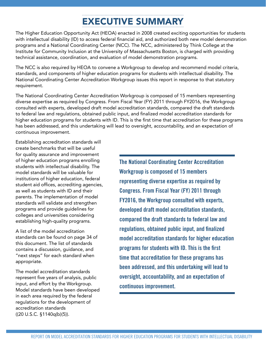## EXECUTIVE SUMMARY

The Higher Education Opportunity Act (HEOA) enacted in 2008 created exciting opportunities for students with intellectual disability (ID) to access federal financial aid, and authorized both new model demonstration programs and a National Coordinating Center (NCC). The NCC, administered by Think College at the Institute for Community Inclusion at the University of Massachusetts Boston, is charged with providing technical assistance, coordination, and evaluation of model demonstration programs.

The NCC is also required by HEOA to convene a Workgroup to develop and recommend model criteria, standards, and components of higher education programs for students with intellectual disability. The National Coordinating Center Accreditation Workgroup issues this report in response to that statutory requirement.

The National Coordinating Center Accreditation Workgroup is composed of 15 members representing diverse expertise as required by Congress. From Fiscal Year (FY) 2011 through FY2016, the Workgroup consulted with experts, developed draft model accreditation standards, compared the draft standards to federal law and regulations, obtained public input, and finalized model accreditation standards for higher education programs for students with ID. This is the first time that accreditation for these programs has been addressed, and this undertaking will lead to oversight, accountability, and an expectation of continuous improvement.

Establishing accreditation standards will create benchmarks that will be useful for quality assurance and improvement of higher education programs enrolling students with intellectual disability. The model standards will be valuable for institutions of higher education, federal student aid offices, accrediting agencies, as well as students with ID and their parents. The implementation of model standards will validate and strengthen programs and provide guidelines for colleges and universities considering establishing high-quality programs.

A list of the model accreditation standards can be found on page 34 of this document. The list of standards contains a discussion, guidance, and "next steps" for each standard when appropriate.

The model accreditation standards represent five years of analysis, public input, and effort by the Workgroup. Model standards have been developed in each area required by the federal regulations for the development of accreditation standards ((20 U.S.C. §1140q(b)(5)).

**The National Coordinating Center Accreditation Workgroup is composed of 15 members representing diverse expertise as required by Congress. From Fiscal Year (FY) 2011 through FY2016, the Workgroup consulted with experts, developed draft model accreditation standards, compared the draft standards to federal law and regulations, obtained public input, and finalized model accreditation standards for higher education programs for students with ID. This is the first time that accreditation for these programs has been addressed, and this undertaking will lead to oversight, accountability, and an expectation of continuous improvement.**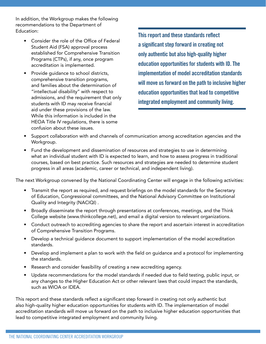In addition, the Workgroup makes the following recommendations to the Department of Education:

- Consider the role of the Office of Federal Student Aid (FSA) approval process established for Comprehensive Transition Programs (CTPs), if any, once program accreditation is implemented.
- Provide guidance to school districts, comprehensive transition programs, and families about the determination of "intellectual disability" with respect to admissions, and the requirement that only students with ID may receive financial aid under these provisions of the law. While this information is included in the HEOA Title IV regulations, there is some confusion about these issues.

**This report and these standards reflect a significant step forward in creating not only authentic but also high-quality higher education opportunities for students with ID. The implementation of model accreditation standards will move us forward on the path to inclusive higher education opportunities that lead to competitive integrated employment and community living.** 

- Support collaboration with and channels of communication among accreditation agencies and the Workgroup.
- Fund the development and dissemination of resources and strategies to use in determining what an individual student with ID is expected to learn, and how to assess progress in traditional courses, based on best practice. Such resources and strategies are needed to determine student progress in all areas (academic, career or technical, and independent living).

The next Workgroup convened by the National Coordinating Center will engage in the following activities:

- Transmit the report as required, and request briefings on the model standards for the Secretary of Education, Congressional committees, and the National Advisory Committee on Institutional Quality and Integrity (NACIQI) .
- Broadly disseminate the report through presentations at conferences, meetings, and the Think College website (www.thinkcollege.net), and email a digital version to relevant organizations.
- Conduct outreach to accrediting agencies to share the report and ascertain interest in accreditation of Comprehensive Transition Programs.
- Develop a technical guidance document to support implementation of the model accreditation standards.
- Develop and implement a plan to work with the field on guidance and a protocol for implementing the standards.
- Research and consider feasibility of creating a new accrediting agency.
- Update recommendations for the model standards if needed due to field testing, public input, or any changes to the Higher Education Act or other relevant laws that could impact the standards, such as WIOA or IDEA.

This report and these standards reflect a significant step forward in creating not only authentic but also high-quality higher education opportunities for students with ID. The implementation of model accreditation standards will move us forward on the path to inclusive higher education opportunities that lead to competitive integrated employment and community living.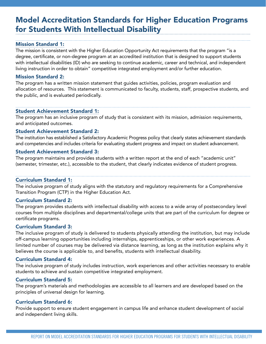### Model Accreditation Standards for Higher Education Programs for Students With Intellectual Disability

#### Mission Standard 1:

The mission is consistent with the Higher Education Opportunity Act requirements that the program "is a degree, certificate, or non-degree program at an accredited institution that is designed to support students with intellectual disabilities (ID) who are seeking to continue academic, career and technical, and independent living instruction in order to obtain" competitive integrated employment and/or further education.

#### Mission Standard 2:

The program has a written mission statement that guides activities, policies, program evaluation and allocation of resources. This statement is communicated to faculty, students, staff, prospective students, and the public, and is evaluated periodically.

#### Student Achievement Standard 1:

The program has an inclusive program of study that is consistent with its mission, admission requirements, and anticipated outcomes.

#### Student Achievement Standard 2:

The institution has established a Satisfactory Academic Progress policy that clearly states achievement standards and competencies and includes criteria for evaluating student progress and impact on student advancement.

#### Student Achievement Standard 3:

The program maintains and provides students with a written report at the end of each "academic unit" (semester, trimester, etc.), accessible to the student, that clearly indicates evidence of student progress.

#### Curriculum Standard 1:

The inclusive program of study aligns with the statutory and regulatory requirements for a Comprehensive Transition Program (CTP) in the Higher Education Act.

#### Curriculum Standard 2:

The program provides students with intellectual disability with access to a wide array of postsecondary level courses from multiple disciplines and departmental/college units that are part of the curriculum for degree or certificate programs.

#### Curriculum Standard 3:

The inclusive program of study is delivered to students physically attending the institution, but may include off-campus learning opportunities including internships, apprenticeships, or other work experiences. A limited number of courses may be delivered via distance learning, as long as the institution explains why it believes the course is applicable to, and benefits, students with intellectual disability.

#### Curriculum Standard 4:

The inclusive program of study includes instruction, work experiences and other activities necessary to enable students to achieve and sustain competitive integrated employment.

#### Curriculum Standard 5:

The program's materials and methodologies are accessible to all learners and are developed based on the principles of universal design for learning.

#### Curriculum Standard 6:

Provide support to ensure student engagement in campus life and enhance student development of social and independent living skills.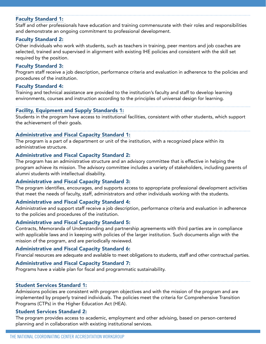#### Faculty Standard 1:

Staff and other professionals have education and training commensurate with their roles and responsibilities and demonstrate an ongoing commitment to professional development.

#### Faculty Standard 2:

Other individuals who work with students, such as teachers in training, peer mentors and job coaches are selected, trained and supervised in alignment with existing IHE policies and consistent with the skill set required by the position.

#### Faculty Standard 3:

Program staff receive a job description, performance criteria and evaluation in adherence to the policies and procedures of the institution.

#### Faculty Standard 4:

Training and technical assistance are provided to the institution's faculty and staff to develop learning environments, courses and instruction according to the principles of universal design for learning.

#### Facility, Equipment and Supply Standards 1:

Students in the program have access to institutional facilities, consistent with other students, which support the achievement of their goals.

#### Administrative and Fiscal Capacity Standard 1:

The program is a part of a department or unit of the institution, with a recognized place within its administrative structure.

#### Administrative and Fiscal Capacity Standard 2:

The program has an administrative structure and an advisory committee that is effective in helping the program achieve its mission. The advisory committee includes a variety of stakeholders, including parents of alumni students with intellectual disability.

#### Administrative and Fiscal Capacity Standard 3:

The program identifies, encourages, and supports access to appropriate professional development activities that meet the needs of faculty, staff, administrators and other individuals working with the students.

#### Administrative and Fiscal Capacity Standard 4:

Administrative and support staff receive a job description, performance criteria and evaluation in adherence to the policies and procedures of the institution.

#### Administrative and Fiscal Capacity Standard 5:

Contracts, Memoranda of Understanding and partnership agreements with third parties are in compliance with applicable laws and in keeping with policies of the larger institution. Such documents align with the mission of the program, and are periodically reviewed.

#### Administrative and Fiscal Capacity Standard 6:

Financial resources are adequate and available to meet obligations to students, staff and other contractual parties.

#### Administrative and Fiscal Capacity Standard 7:

Programs have a viable plan for fiscal and programmatic sustainability.

#### Student Services Standard 1:

Admissions policies are consistent with program objectives and with the mission of the program and are implemented by properly trained individuals. The policies meet the criteria for Comprehensive Transition Programs (CTPs) in the Higher Education Act (HEA).

#### Student Services Standard 2:

The program provides access to academic, employment and other advising, based on person-centered planning and in collaboration with existing institutional services.